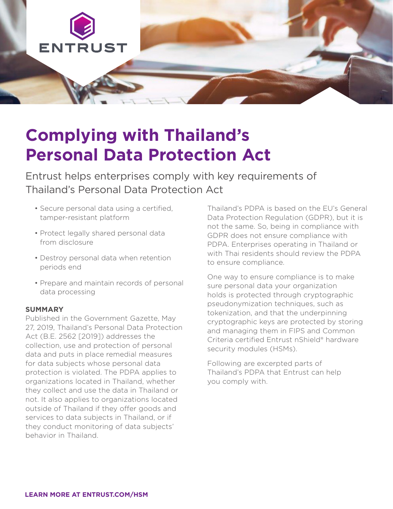

# **Complying with Thailand's Personal Data Protection Act**

Entrust helps enterprises comply with key requirements of Thailand's Personal Data Protection Act

- Secure personal data using a certified, tamper-resistant platform
- Protect legally shared personal data from disclosure
- Destroy personal data when retention periods end
- Prepare and maintain records of personal data processing

# **SUMMARY**

Published in the Government Gazette, May 27, 2019, Thailand's Personal Data Protection Act (B.E. 2562 [2019]) addresses the collection, use and protection of personal data and puts in place remedial measures for data subjects whose personal data protection is violated. The PDPA applies to organizations located in Thailand, whether they collect and use the data in Thailand or not. It also applies to organizations located outside of Thailand if they offer goods and services to data subjects in Thailand, or if they conduct monitoring of data subjects' behavior in Thailand.

Thailand's PDPA is based on the EU's General Data Protection Regulation (GDPR), but it is not the same. So, being in compliance with GDPR does not ensure compliance with PDPA. Enterprises operating in Thailand or with Thai residents should review the PDPA to ensure compliance.

One way to ensure compliance is to make sure personal data your organization holds is protected through cryptographic pseudonymization techniques, such as tokenization, and that the underpinning cryptographic keys are protected by storing and managing them in FIPS and Common Criteria certified Entrust nShield® hardware security modules (HSMs).

Following are excerpted parts of Thailand's PDPA that Entrust can help you comply with.